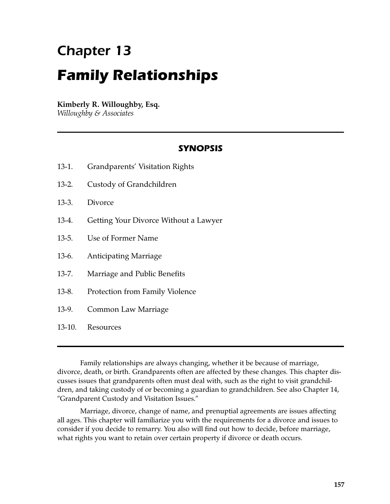# Chapter 13 **Family Relationships**

**Kimberly R. Willoughby, Esq.**

*Willoughby & Associates*

## **SYNOPSIS**

- 13-1. Grandparents' Visitation Rights
- 13-2. Custody of Grandchildren
- 13-3. Divorce
- 13-4. Getting Your Divorce Without a Lawyer
- 13-5. Use of Former Name
- 13-6. Anticipating Marriage
- 13-7. Marriage and Public Benefits
- 13-8. Protection from Family Violence
- 13-9. Common Law Marriage
- 13-10. Resources

Family relationships are always changing, whether it be because of marriage, divorce, death, or birth. Grandparents often are affected by these changes. This chapter discusses issues that grandparents often must deal with, such as the right to visit grandchildren, and taking custody of or becoming a guardian to grandchildren. See also Chapter 14, "Grandparent Custody and Visitation Issues."

Marriage, divorce, change of name, and prenuptial agreements are issues affecting all ages. This chapter will familiarize you with the requirements for a divorce and issues to consider if you decide to remarry. You also will find out how to decide, before marriage, what rights you want to retain over certain property if divorce or death occurs.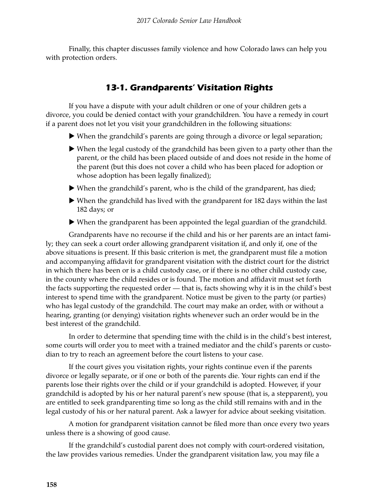Finally, this chapter discusses family violence and how Colorado laws can help you with protection orders.

# **13-1. Grandparents' Visitation Rights**

If you have a dispute with your adult children or one of your children gets a divorce, you could be denied contact with your grandchildren. You have a remedy in court if a parent does not let you visit your grandchildren in the following situations:

- $\blacktriangleright$  When the grandchild's parents are going through a divorce or legal separation;
- $\blacktriangleright$  When the legal custody of the grandchild has been given to a party other than the parent, or the child has been placed outside of and does not reside in the home of the parent (but this does not cover a child who has been placed for adoption or whose adoption has been legally finalized);
- $\blacktriangleright$  When the grandchild's parent, who is the child of the grandparent, has died;
- $\blacktriangleright$  When the grandchild has lived with the grandparent for 182 days within the last 182 days; or
- $\blacktriangleright$  When the grandparent has been appointed the legal guardian of the grandchild.

Grandparents have no recourse if the child and his or her parents are an intact family; they can seek a court order allowing grandparent visitation if, and only if, one of the above situations is present. If this basic criterion is met, the grandparent must file a motion and accompanying affidavit for grandparent visitation with the district court for the district in which there has been or is a child custody case, or if there is no other child custody case, in the county where the child resides or is found. The motion and affidavit must set forth the facts supporting the requested order — that is, facts showing why it is in the child's best interest to spend time with the grandparent. Notice must be given to the party (or parties) who has legal custody of the grandchild. The court may make an order, with or without a hearing, granting (or denying) visitation rights whenever such an order would be in the best interest of the grandchild.

In order to determine that spending time with the child is in the child's best interest, some courts will order you to meet with a trained mediator and the child's parents or custodian to try to reach an agreement before the court listens to your case.

If the court gives you visitation rights, your rights continue even if the parents divorce or legally separate, or if one or both of the parents die. Your rights can end if the parents lose their rights over the child or if your grandchild is adopted. However, if your grandchild is adopted by his or her natural parent's new spouse (that is, a stepparent), you are entitled to seek grandparenting time so long as the child still remains with and in the legal custody of his or her natural parent. Ask a lawyer for advice about seeking visitation.

A motion for grandparent visitation cannot be filed more than once every two years unless there is a showing of good cause.

If the grandchild's custodial parent does not comply with court-ordered visitation, the law provides various remedies. Under the grandparent visitation law, you may file a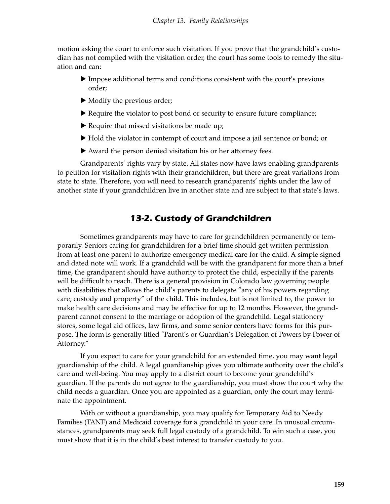motion asking the court to enforce such visitation. If you prove that the grandchild's custodian has not complied with the visitation order, the court has some tools to remedy the situation and can:

- $\blacktriangleright$  Impose additional terms and conditions consistent with the court's previous order;
- $\blacktriangleright$  Modify the previous order;
- $\blacktriangleright$  Require the violator to post bond or security to ensure future compliance;
- $\blacktriangleright$  Require that missed visitations be made up;
- $\blacktriangleright$  Hold the violator in contempt of court and impose a jail sentence or bond; or
- $\blacktriangleright$  Award the person denied visitation his or her attorney fees.

Grandparents' rights vary by state. All states now have laws enabling grandparents to petition for visitation rights with their grandchildren, but there are great variations from state to state. Therefore, you will need to research grandparents' rights under the law of another state if your grandchildren live in another state and are subject to that state's laws.

# **13-2. Custody of Grandchildren**

Sometimes grandparents may have to care for grandchildren permanently or temporarily. Seniors caring for grandchildren for a brief time should get written permission from at least one parent to authorize emergency medical care for the child. A simple signed and dated note will work. If a grandchild will be with the grandparent for more than a brief time, the grandparent should have authority to protect the child, especially if the parents will be difficult to reach. There is a general provision in Colorado law governing people with disabilities that allows the child's parents to delegate "any of his powers regarding care, custody and property" of the child. This includes, but is not limited to, the power to make health care decisions and may be effective for up to 12 months. However, the grandparent cannot consent to the marriage or adoption of the grandchild. Legal stationery stores, some legal aid offices, law firms, and some senior centers have forms for this purpose. The form is generally titled "Parent's or Guardian's Delegation of Powers by Power of Attorney."

If you expect to care for your grandchild for an extended time, you may want legal guardianship of the child. A legal guardianship gives you ultimate authority over the child's care and well-being. You may apply to a district court to become your grandchild's guardian. If the parents do not agree to the guardianship, you must show the court why the child needs a guardian. Once you are appointed as a guardian, only the court may terminate the appointment.

With or without a guardianship, you may qualify for Temporary Aid to Needy Families (TANF) and Medicaid coverage for a grandchild in your care. In unusual circumstances, grandparents may seek full legal custody of a grandchild. To win such a case, you must show that it is in the child's best interest to transfer custody to you.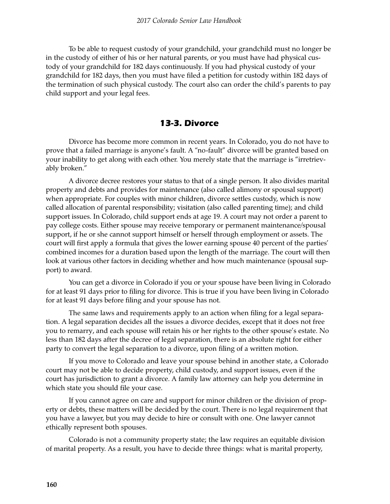To be able to request custody of your grandchild, your grandchild must no longer be in the custody of either of his or her natural parents, or you must have had physical custody of your grandchild for 182 days continuously. If you had physical custody of your grandchild for 182 days, then you must have filed a petition for custody within 182 days of the termination of such physical custody. The court also can order the child's parents to pay child support and your legal fees.

## **13-3. Divorce**

Divorce has become more common in recent years. In Colorado, you do not have to prove that a failed marriage is anyone's fault. A "no-fault" divorce will be granted based on your inability to get along with each other. You merely state that the marriage is "irretrievably broken."

A divorce decree restores your status to that of a single person. It also divides marital property and debts and provides for maintenance (also called alimony or spousal support) when appropriate. For couples with minor children, divorce settles custody, which is now called allocation of parental responsibility; visitation (also called parenting time); and child support issues. In Colorado, child support ends at age 19. A court may not order a parent to pay college costs. Either spouse may receive temporary or permanent maintenance/spousal support, if he or she cannot support himself or herself through employment or assets. The court will first apply a formula that gives the lower earning spouse 40 percent of the parties' combined incomes for a duration based upon the length of the marriage. The court will then look at various other factors in deciding whether and how much maintenance (spousal support) to award.

You can get a divorce in Colorado if you or your spouse have been living in Colorado for at least 91 days prior to filing for divorce. This is true if you have been living in Colorado for at least 91 days before filing and your spouse has not.

The same laws and requirements apply to an action when filing for a legal separation. A legal separation decides all the issues a divorce decides, except that it does not free you to remarry, and each spouse will retain his or her rights to the other spouse's estate. No less than 182 days after the decree of legal separation, there is an absolute right for either party to convert the legal separation to a divorce, upon filing of a written motion.

If you move to Colorado and leave your spouse behind in another state, a Colorado court may not be able to decide property, child custody, and support issues, even if the court has jurisdiction to grant a divorce. A family law attorney can help you determine in which state you should file your case.

If you cannot agree on care and support for minor children or the division of property or debts, these matters will be decided by the court. There is no legal requirement that you have a lawyer, but you may decide to hire or consult with one. One lawyer cannot ethically represent both spouses.

Colorado is not a community property state; the law requires an equitable division of marital property. As a result, you have to decide three things: what is marital property,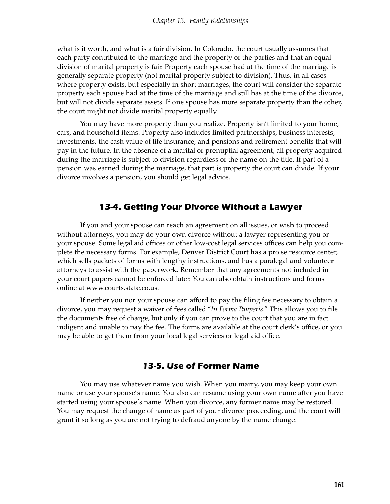what is it worth, and what is a fair division. In Colorado, the court usually assumes that each party contributed to the marriage and the property of the parties and that an equal division of marital property is fair. Property each spouse had at the time of the marriage is generally separate property (not marital property subject to division). Thus, in all cases where property exists, but especially in short marriages, the court will consider the separate property each spouse had at the time of the marriage and still has at the time of the divorce, but will not divide separate assets. If one spouse has more separate property than the other, the court might not divide marital property equally.

You may have more property than you realize. Property isn't limited to your home, cars, and household items. Property also includes limited partnerships, business interests, investments, the cash value of life insurance, and pensions and retirement benefits that will pay in the future. In the absence of a marital or prenuptial agreement, all property acquired during the marriage is subject to division regardless of the name on the title. If part of a pension was earned during the marriage, that part is property the court can divide. If your divorce involves a pension, you should get legal advice.

# **13-4. Getting Your Divorce Without a Lawyer**

If you and your spouse can reach an agreement on all issues, or wish to proceed without attorneys, you may do your own divorce without a lawyer representing you or your spouse. Some legal aid offices or other low-cost legal services offices can help you complete the necessary forms. For example, Denver District Court has a pro se resource center, which sells packets of forms with lengthy instructions, and has a paralegal and volunteer attorneys to assist with the paperwork. Remember that any agreements not included in your court papers cannot be enforced later. You can also obtain instructions and forms online at www.courts.state.co.us.

If neither you nor your spouse can afford to pay the filing fee necessary to obtain a divorce, you may request a waiver of fees called "*In Forma Pauperis*." This allows you to file the documents free of charge, but only if you can prove to the court that you are in fact indigent and unable to pay the fee. The forms are available at the court clerk's office, or you may be able to get them from your local legal services or legal aid office.

## **13-5. Use of Former Name**

You may use whatever name you wish. When you marry, you may keep your own name or use your spouse's name. You also can resume using your own name after you have started using your spouse's name. When you divorce, any former name may be restored. You may request the change of name as part of your divorce proceeding, and the court will grant it so long as you are not trying to defraud anyone by the name change.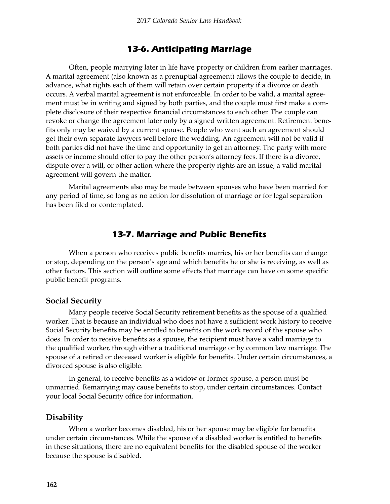#### **13-6. Anticipating Marriage**

Often, people marrying later in life have property or children from earlier marriages. A marital agreement (also known as a prenuptial agreement) allows the couple to decide, in advance, what rights each of them will retain over certain property if a divorce or death occurs. A verbal marital agreement is not enforceable. In order to be valid, a marital agreement must be in writing and signed by both parties, and the couple must first make a complete disclosure of their respective financial circumstances to each other. The couple can revoke or change the agreement later only by a signed written agreement. Retirement benefits only may be waived by a current spouse. People who want such an agreement should get their own separate lawyers well before the wedding. An agreement will not be valid if both parties did not have the time and opportunity to get an attorney. The party with more assets or income should offer to pay the other person's attorney fees. If there is a divorce, dispute over a will, or other action where the property rights are an issue, a valid marital agreement will govern the matter.

Marital agreements also may be made between spouses who have been married for any period of time, so long as no action for dissolution of marriage or for legal separation has been filed or contemplated.

#### **13-7. Marriage and Public Benefits**

When a person who receives public benefits marries, his or her benefits can change or stop, depending on the person's age and which benefits he or she is receiving, as well as other factors. This section will outline some effects that marriage can have on some specific public benefit programs.

#### **Social Security**

Many people receive Social Security retirement benefits as the spouse of a qualified worker. That is because an individual who does not have a sufficient work history to receive Social Security benefits may be entitled to benefits on the work record of the spouse who does. In order to receive benefits as a spouse, the recipient must have a valid marriage to the qualified worker, through either a traditional marriage or by common law marriage. The spouse of a retired or deceased worker is eligible for benefits. Under certain circumstances, a divorced spouse is also eligible.

In general, to receive benefits as a widow or former spouse, a person must be unmarried. Remarrying may cause benefits to stop, under certain circumstances. Contact your local Social Security office for information.

#### **Disability**

When a worker becomes disabled, his or her spouse may be eligible for benefits under certain circumstances. While the spouse of a disabled worker is entitled to benefits in these situations, there are no equivalent benefits for the disabled spouse of the worker because the spouse is disabled.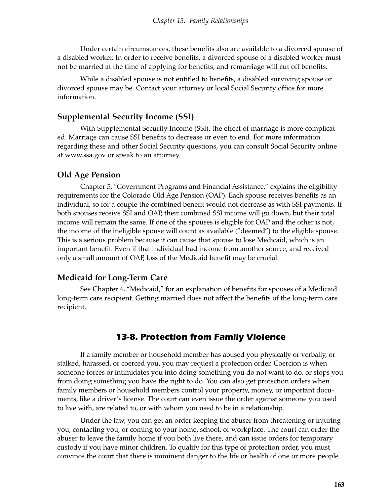Under certain circumstances, these benefits also are available to a divorced spouse of a disabled worker. In order to receive benefits, a divorced spouse of a disabled worker must not be married at the time of applying for benefits, and remarriage will cut off benefits.

While a disabled spouse is not entitled to benefits, a disabled surviving spouse or divorced spouse may be. Contact your attorney or local Social Security office for more information.

#### **Supplemental Security Income (SSI)**

With Supplemental Security Income (SSI), the effect of marriage is more complicated. Marriage can cause SSI benefits to decrease or even to end. For more information regarding these and other Social Security questions, you can consult Social Security online at www.ssa.gov or speak to an attorney.

## **Old Age Pension**

Chapter 5, "Government Programs and Financial Assistance," explains the eligibility requirements for the Colorado Old Age Pension (OAP). Each spouse receives benefits as an individual, so for a couple the combined benefit would not decrease as with SSI payments. If both spouses receive SSI and OAP, their combined SSI income will go down, but their total income will remain the same. If one of the spouses is eligible for OAP and the other is not, the income of the ineligible spouse will count as available ("deemed") to the eligible spouse. This is a serious problem because it can cause that spouse to lose Medicaid, which is an important benefit. Even if that individual had income from another source, and received only a small amount of OAP, loss of the Medicaid benefit may be crucial.

## **Medicaid for Long-Term Care**

See Chapter 4, "Medicaid," for an explanation of benefits for spouses of a Medicaid long-term care recipient. Getting married does not affect the benefits of the long-term care recipient.

# **13-8. Protection from Family Violence**

If a family member or household member has abused you physically or verbally, or stalked, harassed, or coerced you, you may request a protection order. Coercion is when someone forces or intimidates you into doing something you do not want to do, or stops you from doing something you have the right to do. You can also get protection orders when family members or household members control your property, money, or important documents, like a driver's license. The court can even issue the order against someone you used to live with, are related to, or with whom you used to be in a relationship.

Under the law, you can get an order keeping the abuser from threatening or injuring you, contacting you, or coming to your home, school, or workplace. The court can order the abuser to leave the family home if you both live there, and can issue orders for temporary custody if you have minor children. To qualify for this type of protection order, you must convince the court that there is imminent danger to the life or health of one or more people.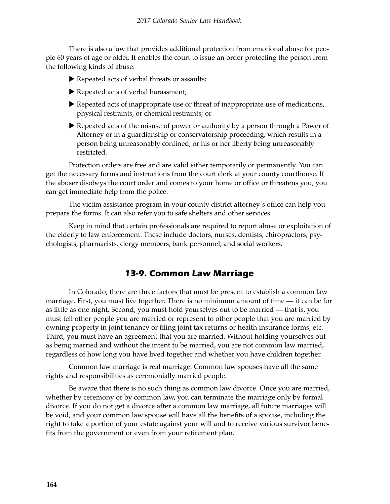There is also a law that provides additional protection from emotional abuse for people 60 years of age or older. It enables the court to issue an order protecting the person from the following kinds of abuse:

- $\blacktriangleright$  Repeated acts of verbal threats or assaults;
- $\blacktriangleright$  Repeated acts of verbal harassment;
- $\blacktriangleright$  Repeated acts of inappropriate use or threat of inappropriate use of medications, physical restraints, or chemical restraints; or
- $\blacktriangleright$  Repeated acts of the misuse of power or authority by a person through a Power of Attorney or in a guardianship or conservatorship proceeding, which results in a person being unreasonably confined, or his or her liberty being unreasonably restricted.

Protection orders are free and are valid either temporarily or permanently. You can get the necessary forms and instructions from the court clerk at your county courthouse. If the abuser disobeys the court order and comes to your home or office or threatens you, you can get immediate help from the police.

The victim assistance program in your county district attorney's office can help you prepare the forms. It can also refer you to safe shelters and other services.

Keep in mind that certain professionals are required to report abuse or exploitation of the elderly to law enforcement. These include doctors, nurses, dentists, chiropractors, psychologists, pharmacists, clergy members, bank personnel, and social workers.

## **13-9. Common Law Marriage**

In Colorado, there are three factors that must be present to establish a common law marriage. First, you must live together. There is no minimum amount of time — it can be for as little as one night. Second, you must hold yourselves out to be married — that is, you must tell other people you are married or represent to other people that you are married by owning property in joint tenancy or filing joint tax returns or health insurance forms, etc. Third, you must have an agreement that you are married. Without holding yourselves out as being married and without the intent to be married, you are not common law married, regardless of how long you have lived together and whether you have children together.

Common law marriage is real marriage. Common law spouses have all the same rights and responsibilities as ceremonially married people.

Be aware that there is no such thing as common law divorce. Once you are married, whether by ceremony or by common law, you can terminate the marriage only by formal divorce. If you do not get a divorce after a common law marriage, all future marriages will be void, and your common law spouse will have all the benefits of a spouse, including the right to take a portion of your estate against your will and to receive various survivor benefits from the government or even from your retirement plan.